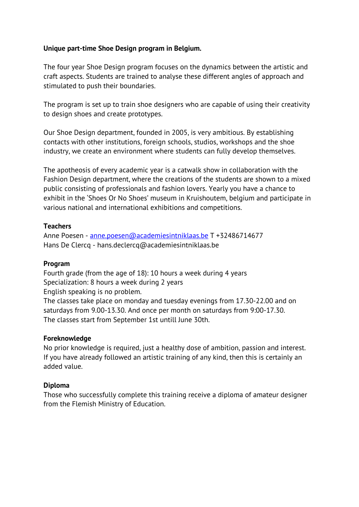## **Unique part-time Shoe Design program in Belgium.**

The four year Shoe Design program focuses on the dynamics between the artistic and craft aspects. Students are trained to analyse these different angles of approach and stimulated to push their boundaries.

The program is set up to train shoe designers who are capable of using their creativity to design shoes and create prototypes.

Our Shoe Design department, founded in 2005, is very ambitious. By establishing contacts with other institutions, foreign schools, studios, workshops and the shoe industry, we create an environment where students can fully develop themselves.

The apotheosis of every academic year is a catwalk show in collaboration with the Fashion Design department, where the creations of the students are shown to a mixed public consisting of professionals and fashion lovers. Yearly you have a chance to exhibit in the 'Shoes Or No Shoes' museum in Kruishoutem, belgium and participate in various national and international exhibitions and competitions.

### **Teachers**

Anne Poesen - anne.poesen@academiesintniklaas.be T +32486714677 Hans De Clercq - hans.declercq@academiesintniklaas.be

### **Program**

Fourth grade (from the age of 18): 10 hours a week during 4 years Specialization: 8 hours a week during 2 years English speaking is no problem. The classes take place on monday and tuesday evenings from 17.30-22.00 and on saturdays from 9.00-13.30. And once per month on saturdays from 9:00-17.30. The classes start from September 1st untill June 30th.

### **Foreknowledge**

No prior knowledge is required, just a healthy dose of ambition, passion and interest. If you have already followed an artistic training of any kind, then this is certainly an added value.

# **Diploma**

Those who successfully complete this training receive a diploma of amateur designer from the Flemish Ministry of Education.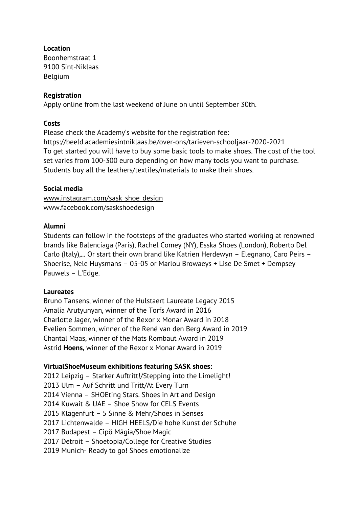**Location**

Boonhemstraat 1 9100 Sint-Niklaas Belgium

## **Registration**

Apply online from the last weekend of June on until September 30th.

## **Costs**

Please check the Academy's website for the registration fee: https://beeld.academiesintniklaas.be/over-ons/tarieven-schooljaar-2020-2021 To get started you will have to buy some basic tools to make shoes. The cost of the tool set varies from 100-300 euro depending on how many tools you want to purchase. Students buy all the leathers/textiles/materials to make their shoes.

## **Social media**

www.instagram.com/sask\_shoe\_design www.facebook.com/saskshoedesign

### **Alumni**

Students can follow in the footsteps of the graduates who started working at renowned brands like Balenciaga (Paris), Rachel Comey (NY), Esska Shoes (London), Roberto Del Carlo (Italy),... Or start their own brand like Katrien Herdewyn – Elegnano, Caro Peirs – Shoerise, Nele Huysmans – 05-05 or Marlou Browaeys + Lise De Smet + Dempsey Pauwels – L'Edge.

### **Laureates**

Bruno Tansens, winner of the Hulstaert Laureate Legacy 2015 Amalia Arutyunyan, winner of the Torfs Award in 2016 Charlotte Jager, winner of the Rexor x Monar Award in 2018 Evelien Sommen, winner of the René van den Berg Award in 2019 Chantal Maas, winner of the Mats Rombaut Award in 2019 Astrid **Hoens,** winner of the Rexor x Monar Award in 2019

# **VirtualShoeMuseum exhibitions featuring SASK shoes:**

2012 Leipzig – Starker Auftritt!/Stepping into the Limelight! 2013 Ulm – Auf Schritt und Tritt/At Every Turn 2014 Vienna – SHOEting Stars. Shoes in Art and Design 2014 Kuwait & UAE – Shoe Show for CELS Events 2015 Klagenfurt – 5 Sinne & Mehr/Shoes in Senses 2017 Lichtenwalde – HIGH HEELS/Die hohe Kunst der Schuhe 2017 Budapest – Cipö Mágia/Shoe Magic 2017 Detroit – Shoetopia/College for Creative Studies 2019 Munich- Ready to go! Shoes emotionalize